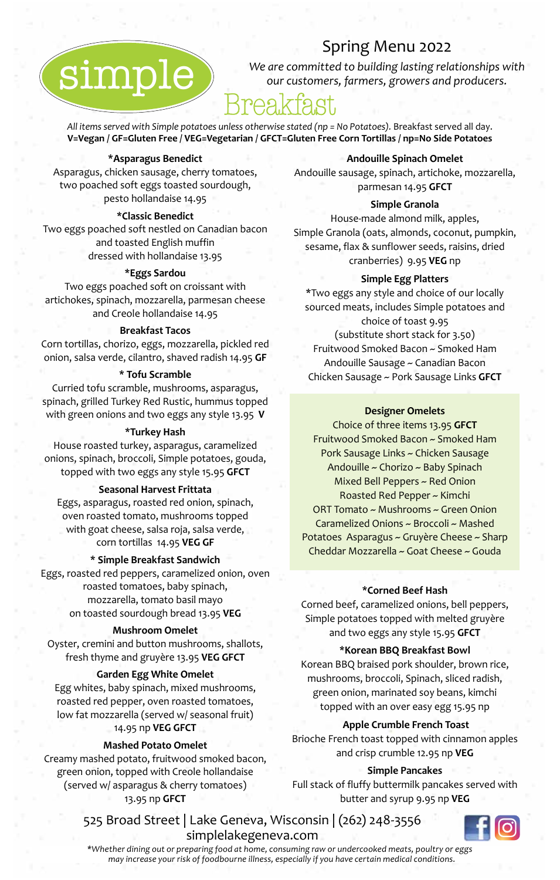### Spring Menu 2022

*We are committed to building lasting relationships with our customers, farmers, growers and producers.*

# Breakfast

All items served with Simple potatoes unless otherwise stated (np = No Potatoes). Breakfast served all day. **V=Vegan / GF=Gluten Free / VEG=Vegetarian / GFCT=Gluten Free Corn Tortillas / np=No Side Potatoes**

#### **\*Asparagus Benedict**

simple

Asparagus, chicken sausage, cherry tomatoes, two poached soft eggs toasted sourdough, pesto hollandaise 14.95

#### **\*Classic Benedict**

Two eggs poached soft nestled on Canadian bacon and toasted English muffin dressed with hollandaise 13.95

#### **\*Eggs Sardou**

Two eggs poached soft on croissant with artichokes, spinach, mozzarella, parmesan cheese and Creole hollandaise 14.95

#### **Breakfast Tacos**

Corn tortillas, chorizo, eggs, mozzarella, pickled red onion, salsa verde, cilantro, shaved radish 14.95 **GF**

#### **\* Tofu Scramble**

Curried tofu scramble, mushrooms, asparagus, spinach, grilled Turkey Red Rustic, hummus topped with green onions and two eggs any style 13.95 **V**

#### **\*Turkey Hash**

House roasted turkey, asparagus, caramelized onions, spinach, broccoli, Simple potatoes, gouda, topped with two eggs any style 15.95 **GFCT**

#### **Seasonal Harvest Frittata**

Eggs, asparagus, roasted red onion, spinach, oven roasted tomato, mushrooms topped with goat cheese, salsa roja, salsa verde, corn tortillas 14.95 **VEG GF**

#### **\* Simple Breakfast Sandwich**

Eggs, roasted red peppers, caramelized onion, oven roasted tomatoes, baby spinach, mozzarella, tomato basil mayo on toasted sourdough bread 13.95 **VEG**

#### **Mushroom Omelet**

Oyster, cremini and button mushrooms, shallots, fresh thyme and gruyère 13.95 **VEG GFCT**

#### **Garden Egg White Omelet**

Egg whites, baby spinach, mixed mushrooms, roasted red pepper, oven roasted tomatoes, low fat mozzarella (served w/ seasonal fruit) 14.95 np **VEG GFCT**

#### **Mashed Potato Omelet**

Creamy mashed potato, fruitwood smoked bacon, green onion, topped with Creole hollandaise (served w/ asparagus & cherry tomatoes) 13.95 np **GFCT**

#### **Andouille Spinach Omelet**

Andouille sausage, spinach, artichoke, mozzarella, parmesan 14.95 **GFCT**

#### **Simple Granola**

House-made almond milk, apples, Simple Granola (oats, almonds, coconut, pumpkin, sesame, flax & sunflower seeds, raisins, dried cranberries) 9.95 **VEG** np

#### **Simple Egg Platters**

\*Two eggs any style and choice of our locally sourced meats, includes Simple potatoes and choice of toast 9.95 (substitute short stack for 3.50) Fruitwood Smoked Bacon ~ Smoked Ham Andouille Sausage ~ Canadian Bacon Chicken Sausage ~ Pork Sausage Links **GFCT**

#### **Designer Omelets**

Choice of three items 13.95 **GFCT** Fruitwood Smoked Bacon ~ Smoked Ham Pork Sausage Links ~ Chicken Sausage Andouille ~ Chorizo ~ Baby Spinach Mixed Bell Peppers ~ Red Onion Roasted Red Pepper ~ Kimchi ORT Tomato ~ Mushrooms ~ Green Onion Caramelized Onions ~ Broccoli ~ Mashed Potatoes Asparagus ~ Gruyère Cheese ~ Sharp Cheddar Mozzarella ~ Goat Cheese ~ Gouda

#### **\*Corned Beef Hash**

Corned beef, caramelized onions, bell peppers, Simple potatoes topped with melted gruyère and two eggs any style 15.95 **GFCT**

#### **\*Korean BBQ Breakfast Bowl**

Korean BBQ braised pork shoulder, brown rice, mushrooms, broccoli, Spinach, sliced radish, green onion, marinated soy beans, kimchi topped with an over easy egg 15.95 np

#### **Apple Crumble French Toast**

Brioche French toast topped with cinnamon apples and crisp crumble 12.95 np **VEG**

#### **Simple Pancakes**

Full stack of fluffy buttermilk pancakes served with butter and syrup 9.95 np **VEG**

525 Broad Street | Lake Geneva, Wisconsin | (262) 248-3556 simplelakegeneva.com



*\*Whether dining out or preparing food at home, consuming raw or undercooked meats, poultry or eggs may increase your risk of foodbourne illness, especially if you have certain medical conditions.*